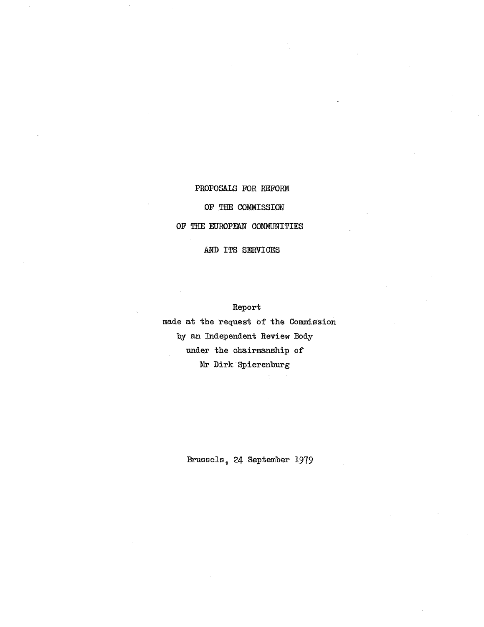# PROPOSALS FOR REFORM OF THE COMMISSION OF THE EUROPEAN COMMUNITIES

AND ITS SERVICES

Report

made at the request of the Commission by an Independent Review Body under the chairmanship of Mr Dirk' Spierenburg

Brussels 7 24 September 1979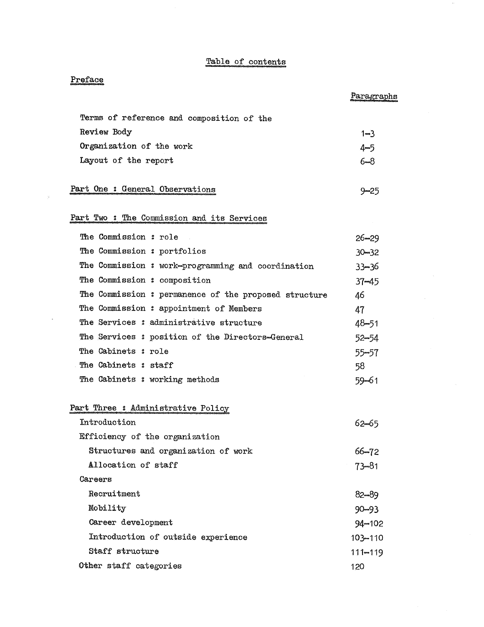### Table of contents

## Preface

 $\frac{1}{2}$ 

|                                                       | Paragraphs  |
|-------------------------------------------------------|-------------|
| Terms of reference and composition of the             |             |
| Review Body                                           | $1 - 3$     |
| Organization of the work                              | 4-5         |
| Layout of the report                                  | $6 - 8$     |
|                                                       |             |
| Part One : General Observations                       | $9 - 25$    |
| Part Two: The Commission and its Services             |             |
| The Commission : role                                 | $26 - 29$   |
| The Commission : portfolios                           | $30 - 32$   |
| The Commission : work-programming and coordination    | $33 - 36$   |
| The Commission : composition                          | $37 - 45$   |
| The Commission : permanence of the proposed structure | 46          |
| The Commission : appointment of Members               | 47          |
| The Services : administrative structure               | $48 - 51$   |
| The Services : position of the Directors-General      | $52 - 54$   |
| The Cabinets : role                                   | 55-57       |
| The Cabinets: staff                                   | 58          |
| The Cabinets : working methods                        | $59 - 61$   |
| Part Three: Administrative Policy                     |             |
| Introduction                                          | 62–65       |
| Efficiency of the organization                        |             |
| Structures and organization of work                   | $66 - 72$   |
| Allocation of staff                                   | $73 - 81$   |
| Careers                                               |             |
| Recruitment                                           | 82-89       |
| Mobility                                              | $90 - 93$   |
| Career development                                    | $94 - 102$  |
| Introduction of outside experience                    | 103-110     |
| Staff structure                                       | $111 - 119$ |
| Other staff categories                                | 120         |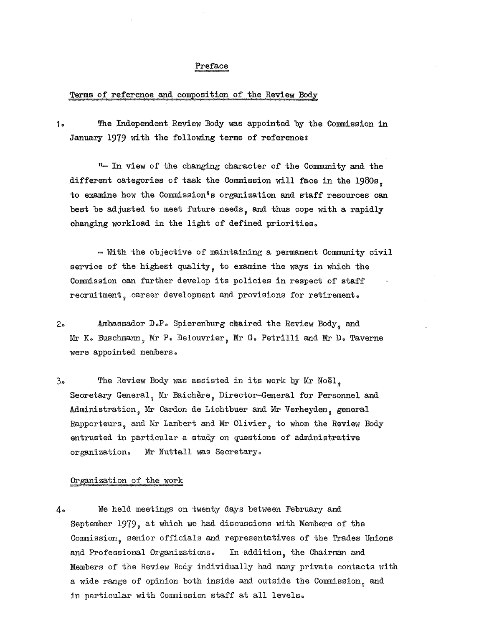#### Preface

#### Terms of reference and composition of the Review Body

1. The Independent Review Body was appointed by the Commission in January 1979 with the following terms of reference:

".... In view of the changing character of the Community and the different categories of task the Commission will face in the 1980s to examine how the Commission<sup>8</sup>s organization and staff resources can best be adjusted to meet future needs, and thus cope with a rapidly changing workload in the light of defined priorities..

- With the objective of maintaining a permanent Community civil service of the highest quality, to examine the ways in which the Commission can further develop its policies in respect of staff recruitment, career development and provisions for retirement.

- 2. Ambassador D.P. Spierenburg chaired the Review Body, and Mr K. Buschmann, Mr P. Delouvrier, Mr G. Petrilli and Mr D. Taverne were appointed members.
- 3. The Review Body was assisted in its work by Mr Noël. Secretary General, Mr Baichère, Director-General for Personnel and Administration, Mr Cardon de Lichtbuer and Mr Verheyden, general Rapporteurs, and Mr Lambert and Mr Olivier, to whom the Review Body entrusted in particular a study on questions of administrative organization.. Mr Nuttall was Secretary..

### Organization of the work

4.. We held meetings on twenty days between February and September 1979, at which we had discussions with Members of the Commission, senior officials and representatives of the Trades Unions and Professional Organizations. In addition, the Chairman and Members of the Review Body individually had many private contacts with a wide range of opinion both inside and outside the Commission , and in particular with Commission staff at all levels..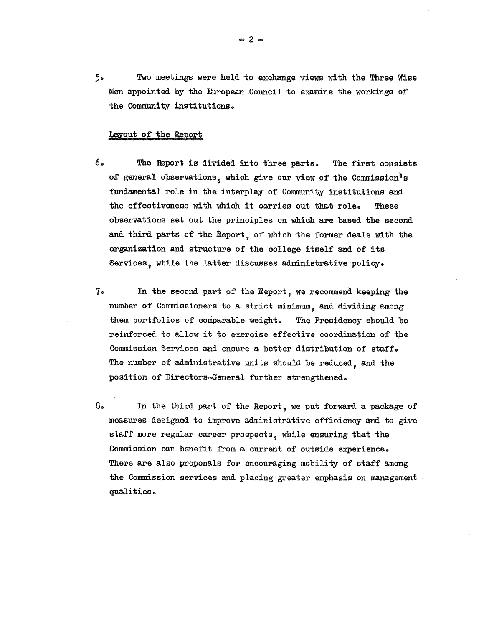5.. Two meetings were held to e:x:change views with the Three Wise Men appointed by the European Council to examine the workings of the Community institutions..

#### Layout of the Report

- 6. The Report is divided into three parts. The first consists of general observations, which give our view of the Commission's fundamental role in the interplay of Community institutions and the effectiveness with which it carries out that role. These observations set out the principles on which are based the second and third parts of the Report, of which the former deals with the organization and structure of the college itself and of its Services, while the latter discusses administrative policy.
- 7.. In the second part of the Report , we recommend keeping the number of Commissioners to a strict minimum , and dividing among them portfolios of comparable weight. The Presidency should be reinforced to allow it to exercise effective coordination of the Commission Services and ensure a better distribution of staff.. The number of administrative units should be reduced, and the position of Directors-General further strengthened..
- $8<sub>o</sub>$ In the third part of the Report , we put forward a package of measures designed to improve administrative efficiency and to give staff more regular career prospects, while ensuring that the Commission can benefit from a current of outside experience. There are also proposals for encouraging mobility of staff among the Commission services and placing greater emphasis on management qualities

 $-2-$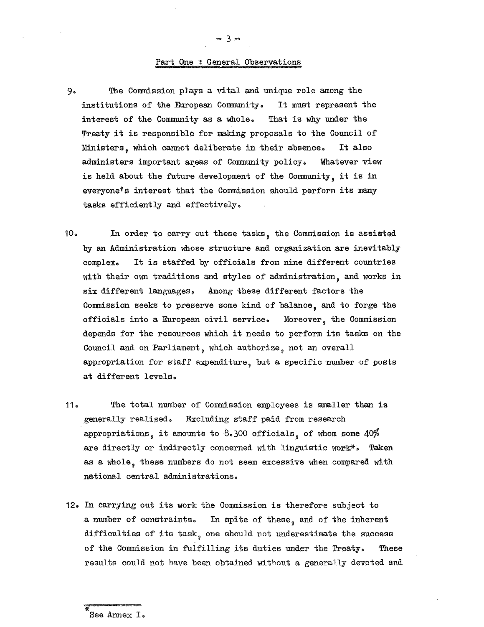#### Part One : General Observations

- 9. The Commission plays a vi tal and unique role among the institutions of the European Community. It must represent the interest of the Community as a whole. That is why under the Treaty it is responsible for making proposals to the Council of Ministers , which cannot deliberate in their absence.. It also administers important areas of Community policy. Whatever view is held about the future development of the Community, it is in everyone<sup>t</sup>s interest that the Commission should perform its many tasks efficiently and effectively..
- 10.. In order to carry out these tasks , the Commission is assisted by an Administration whose structure and organization are inevitably complex. It is staffed by officials from nine different countries with their own traditions and styles of administration, and works in six different languages. Among these different factors the Commission seeks to preserve some kind of balance, and to forge the officials into a European civil service. Moreover, the Commission depends for the resources which it needs to perform its tasks on the Council and on Parliament , which authorize , not an overall appropriation for staff expenditure, but a specific number of posts at different levels.
- 11.. The total number of Commission employees is smaller than is generally realised. Excluding staff paid from research appropriations, it amounts to  $8.300$  officials, of whom some  $40\%$ are directly or indirectly concerned with linguistic work\*. Taken as a whole, these numbers do not seem excessive when compared with national central administrations..
- 12.. In carrying out its work the Commission is therefore subject to a number of constraints. In spite of these, and of the inherent difficulties of its task, one should not underestimate the success of the Commission in fulfilling its duties under the Treaty. These results could not have been obtained without a generally devoted and

- 3-

See Annex I.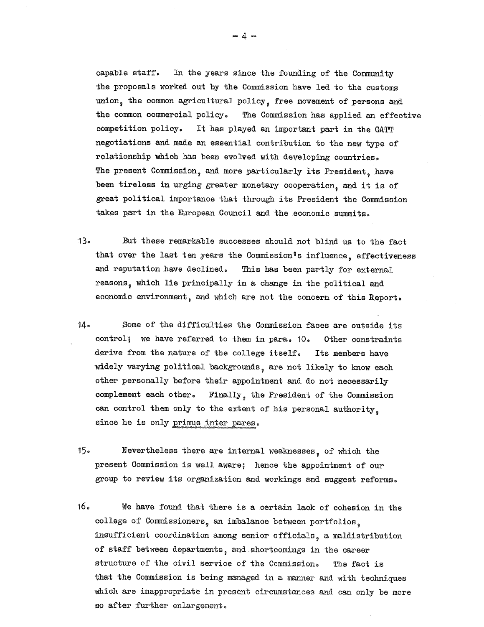capable staff. In the years since the founding of the Community the proposals worked out by the Commission have led to the customs union, the common agricultural policy, free movement of persons and the common commercial policy.. The Commission has applied an effective competition policy.. It has played an important part in the GATT negotiations and made an essential contribution to the new type of relationship which has been evolved with developing countries.. The present Commission, and more particularly its President, have been tireless in urging greater monetary cooperation, and it is of great poli tical importance that through its President the Commission takes part in the European Council and the economic summits..

- 13.. But these remarkable successes should not blind us to the fact that over the last ten years the Commission's influence, effectiveness and reputation have declined. This has been partly for external reasons, which lie principally in a change in the political and economic environment, and which are not the concern of this Report.
- 14. Some of the difficulties the Commission faces are outside its control; we have referred to them in para. 10. Other constraints derive from the nature of the college itself. Its members have widely varying political 'backgrounds , are not likely to know each other personally before their appointment and do not necessarily complement each other. Finally, the President of the Commission can control them only to the extent of his personal authority. since he is only primus inter pares.
- 15.. Nevertheless there are internal weaknesses , of which the present Commission is well aware; hence the appointment of our group to review its organization and workings and suggest reforms..
- 16.. We have found that there is a certain lack of cohesion in the college of Commissioners, an imbalance between portfolios. insufficient coordination among senior officials , a maldistribution of staff between departments , and. shortcomings in the career structure of the civil service of the Commission. The fact is that the Commission is being managed in a manner and with techniques which are inappropriate in present circumstances and can only be more so after further enlargement.

 $-4 -$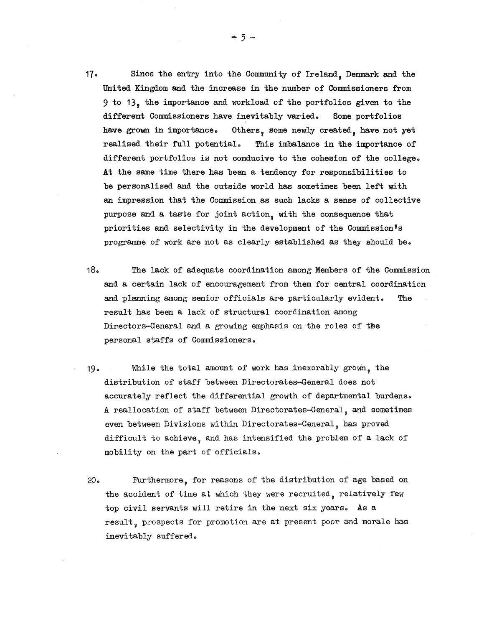- 17 .. Since the entry into the Community of Ireland, Denmark and the Uni ted Kingdom and the increase in the number of Commissioners from 9 to 13, the importance and workload of the portfolios given to the different Commissioners have inevitably varied. Some portfolios have grown in importance. Others, some newly created, have not yet realised their full potential.. This imbalance in the importance of different portfolios is not conducive to the cohesion of the college. At the same time there has been a tendency for responsibilities to be personalised and the outside world has sometimes 'been left with an impression that the Commission as such lacks a sense of collective purpose and a taste for joint action, with the consequence that priorities and selectivity in the development of the Commission's programme of work are not as clearly established as they should be.
- 18. The lack of adequate coordination among Members of the Commission and a certain lack of encouragement from them for central coordination and planning among senior officials are particularly evident. The result has been a lack of structural coordination among Directors-General and a growing emphasis on the roles of the personal staffs of Commissioners..
- 19. While the total amount of work has inexorably grown, the distribution of staff between Directorates-General does not accurately reflect the differential growth of departmental burdens.. A reallocation of staff between Directorates-General , and sometimes even between Divisions wi thin Directorates-General , has proved difficult to achieve, and has intensified the problem of a lack of mobili ty on the part of officials.
- 20.. Furthermore , for reasons of the distribution of age based on the accident of time at which they were recruited, relatively few top civil servants will retire in the next six years. As a result, prospects for promotion are at present poor and morale has inevitably suffered.

 $-5-$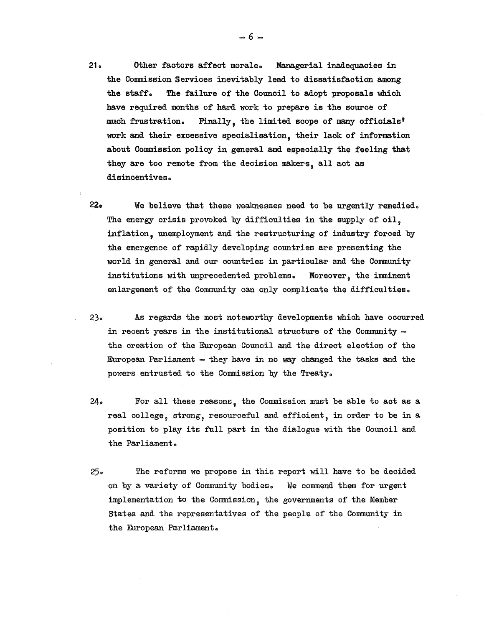- 21.. Other factors affect morale.. Managerial inadequacies in the Commission Services inevitably lead to dissatisfaction among the staff. The failure of the Council to adopt proposals which have required months of hard work to prepare is the source of much frustration. Finally, the limited scope of many officials' work and their excessive specialisation, their lack of information about Commission poliqy in general and especially the feeling that they are too remote from the decision makers, all act as disinoentives..
- 22. We believe that these weaknesses need to be urgently remedied. The energy crisis provoked by difficulties in the supply of oil, inflation, unemployment and the restructuring of industry forced by the emergence of rapidly developing countries are presenting the world in general and our countries in particular and the Community institutions with unprecedented problems. Moreover, the imminent enlargement of the Community can only complicate the difficulties..
- 23. As regards the most noteworthy developments which have occurred in recent years in the institutional structure of the Community  $$ the creation of the European Council and the direct election of the European Parliament - they have in no way changed the tasks and the powers entrusted to the Commission by the Treaty..
- $24.$  For all these reasons, the Commission must be able to act as a real college, strong, resourceful and efficient, in order to be in a position to play its full part in the dialogue with the Council and the Parliament..
- 25.. The reforms we propose in this report will have to be decided on by a variety of Community bodies. We commend them for urgent implementation to the Commission, the governments of the Member States and the representatives of the people of the Community in the European Parliament..

 $-6 -$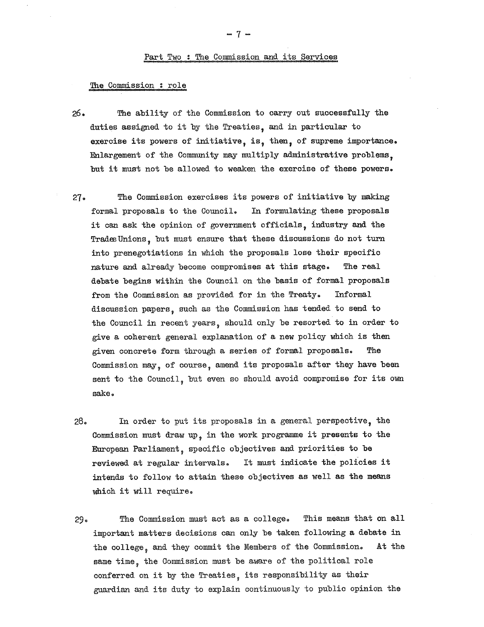#### The Commission : role

- 26. The ability of the Commission to carry out successfully the duties assigned to it by the Treaties, and in particular to exercise its powers of initiative, is, then, of supreme importance.  $Enlargement of the Community may multiply adminititative problems.$ but it must not be allowed to weaken the exercise of these powers.
- 27. The Commission exercises its powers of initiative by making formal proposals to the Council. In formulating these proposals it can ask the opinion of government officials, industry and the Trades Unions, but must ensure that these discussions do not turn into prenegotiations in which the proposals lose their specific nature and already become compromises at this stage.. The real debate begins within the Council on the basis of formal proposals from the Commission as provided for in the Treaty. Informal discussion papers , such as the Commission has tended to send to the Council in recent years, should only be resorted to in order to give a coherent general explanation of a new policy which is then given concrete form through a series of formal proposals. The Commission may, of course, amend its proposals after they have been sent to the Council, but even so should avoid compromise for its own sake..
- 28. In order to put its proposals in a general perspective, the Commission must draw up, in the work programme it presents to the European Parliament , specific objectives and priori ties to be reviewed at regular intervals. It must indicate the policies it intends to follow to attain these objectives as well as the means which it will require.
- 29.. The Commission must act as a college. This means that on all important matters decisions can only be taken following a debate in the college, and they commit the Members of the Commission. At the same time, the Commission must be aware of the political role conferred on it by the Treaties , its responsibility as their guardian and its duty to explain continuously to public opinion the

- 7-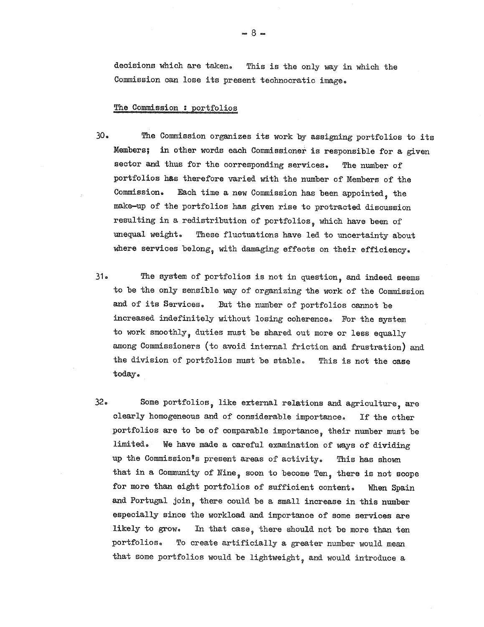decisions which are taken. This is the only way in which the Commission can lose its present technocratic image.

#### The Commission : portfolios

- 30.. The Commission organizes its work by assigning portfolios to its Members; in other words each Commissioner is responsible for a given sector and thus for the corresponding services. The number of portfolios has therefore varied with the number of Members of the Commission.. Each time a new Commission has been appointed , the make-up of the portfolios has given rise to protracted discussion resulting in a redistribution of portfolios, which have been of unequal weight. These fluctuations have led to uncertainty about where services belong, with damaging effects on their efficiency.
- 31. The system of portfolios is not in question, and indeed seems to be the only sensible way of organizing the work of the Commission and of its Services. But the number of portfolios cannot be increased indefinitely without losing coherence. For the system to work smoothly, duties must be shared out more or less equally among Commissioners (to avoid internal friction and frustration) and the division of portfolios must be stable. This is not the case today.
- 32. Some portfolios, like external relations and agriculture, are clearly homogeneous and of considerable importance.. If the other portfolios are to be of comparable importance , their number must be limited. We have made a careful examination of ways of dividing up the Commission's present areas of activity. This has shown that in a Community of Nine, soon to become Ten, there is not scope for more than eight portfolios of sufficient content. When Spain and Portugal join, there could be a small increase in this number especially since the workload and importance of some services are likely to grow. In that case, there should not be more than ten portfolios. To create artificially a greater number would mean that some portfolios would be lightweight, and would introduce a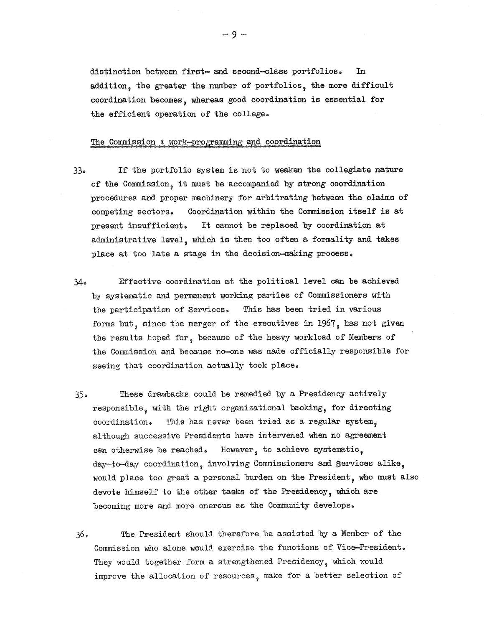distinction between first- and second-class portfolios. In addition, the greater the number of portfolios, the more difficult coordination becomes , whereas good coordination is essential for the efficient operation of the college.

#### The Commission : work-programming and coordination

- 33. If the portfolio system is not to weaken the collegiate nature of the Commission, it must be accompanied by strong coordination procedures and proper machinery for arbitrating between the claims of competing sectors. Coordination within the Commission itself is at present insufficient. It cannot be replaced by coordination at administrative level, which is then too often a formality and takes place at too late a stage in the decision-making process..
- 34. Effective coordination at the political level can be achieved by systematic and permanent working parties of Commissioners with the participation of Services. This has been tried in various forms but, since the merger of the executives in  $1967$ , has not given the results hoped for , because of the heavy workload of Members of the Commission and because no-one was made officially responsible for seeing that coordination actually took place.
- 35.. These drawbacks could be remedied by a Presidency actively responsible, with the right organizational backing, for directing ooordination.. This has never been tried as a regular system although successive Presidents have intervened when no agreement can otherwise be reached. However, to achieve systematic, day-to-day coordination, involving Commissioners and Services alike would place too great a personal burden on the President, who must also devote himself to the other tasks of the Presidency, which are becoming more and more onerous as the Community develops.
- 36. The President should therefore be assisted by a Member of the Commission who alone would exercise the functions of Vice-President.. They would together form a strengthened Presidency, which would improve the allocation of resources , make for a better selection of

- 9-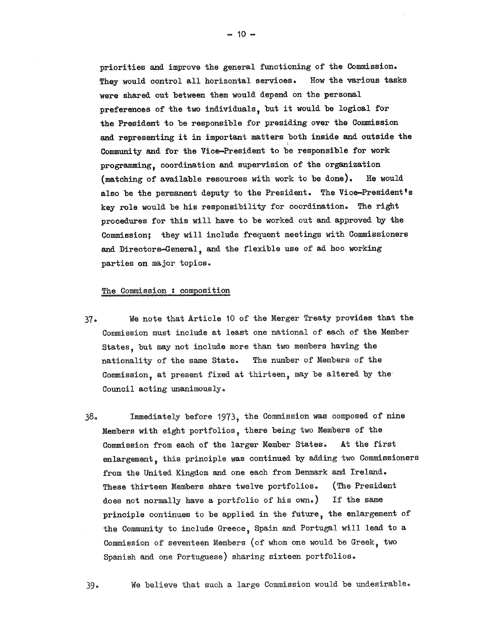priorities and improve the general functioning of the Commission.. They would control all horizontal services. How the various tasks were shared out between them would depend on the personal preferences of the two individuals , but it would be logical for the President to be responsible for presiding over the Commission and representing it in important matters both inside and outside the Community and for the Vice-President to be responsible for work programming, coordination and supervision of the organization (matching of available resources with work to be done).. He would also be the permanent deputy to the President. The Vice-President's key role would be his responsibility for coordination. The right procedures for this will have to be worked out and approved by the Commission; they will include frequent meetings with Commissioners and Directors-General, and the flexible use of ad hoc working parties on major topics.

#### The Commission: composition

- 37.. We note that Article 10 of the Merger Treaty provides that the Commission must include at least one national of each of the Member States , but may not include more than two members having the nationality of the same State. The number of Members of the Commission, at present fixed at thirteen, may be altered by the Council acting unanimously.
- 38.. Immediately before 1973 , the Commission was composed of nine Members with eight portfolios , there being two Members of the Commission from each of the larger Member states. At the first enlargement, this principle was continued by adding two Commissioners from the United Kingdom and one each from Denmark and Ireland. These thirteen Members share twelve portfolios. (The President does not normally have a portfolio of his own.) If the same principle continues to be applied in the future, the enlargement of the Community to include Greece, Spain and Portugal will lead to a Commission of seventeen Members (of whom one would be Greek, two Spanish and one Portuguese) sharing sixteen portfolios.

39. We believe that such a large Commission would be undesirable.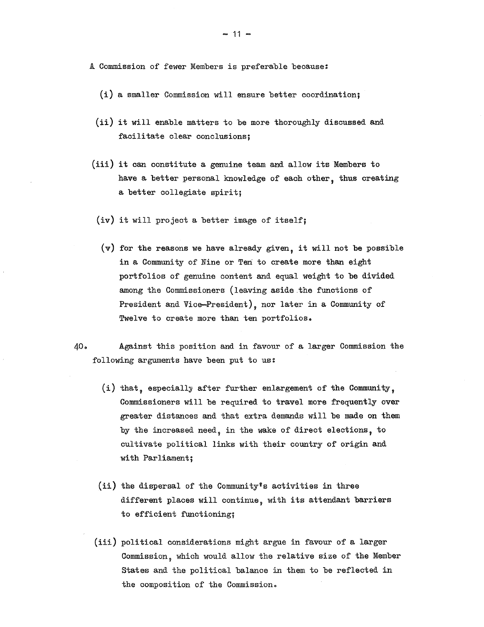A Commission of fewer Members is preferable because:

- (i) a smaller Commission will ensure better coordination;
- $(ii)$  it will enable matters to be more thoroughly discussed and facilitate clear conclusions;
- (iii) it can constitute a genuine team and allow its Members to have a better personal knowledge of each other, thus creating a better collegiate spirit;
- (iv) it will project a better image of itself;
- $(v)$  for the reasons we have already given, it will not be possible in a Community of Nine or Ten to create more than eight portfolios of genuine content and equal weight to be divided among the Commissioners (leaving aside the functions of President and Vice-President), nor later in a Community of Twelve to create more than ten portfolios.
- 40.. Against this position and in favour of a larger Commission the following arguments have been put to us:
	- (i) that, especially after further enlargement of the Community, Commissioners will be required to travel more frequently over greater distances and that extra demands will be made on them by the increased need, in the wake of direct elections, to cultivate political links with their country of origin and with Parliament;
	- (ii) the dispersal of the Community's activities in three different places will continue, with its attendant barriers to efficient functioning;
	- (iii) political considerations might argue in favour of a larger Commission , which would allow the relative size of the Member States and the political balance in them to be reflected in the composition of the Commission.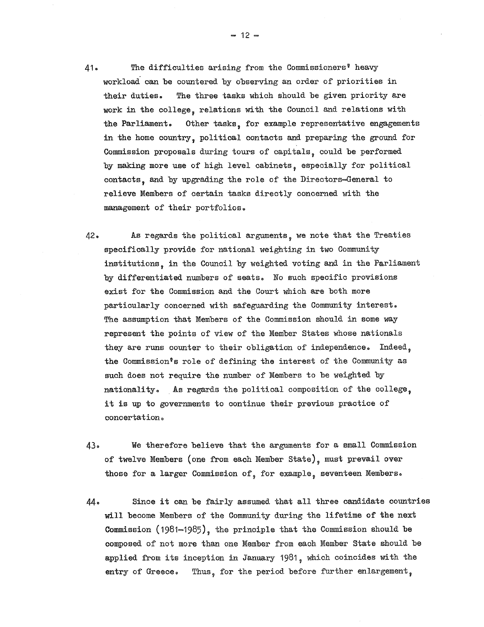- 41. The difficulties arising from the Commissioners<sup>?</sup> heavy workload can be countered by observing an order of priorities in their duties. The three tasks which should be given priority are work in the college, relations with the Council and relations with the Parliament. Other tasks, for example representative engagements in the home country, political contacts and preparing the ground for Commission proposals during tours of capitals , could be performed by making more use of high level cabinets, especially for political contacts, and by upgrading the role of the Directors-General to relieve Members of certain tasks directly concerned with the management of their portfolios..
- 42.. As regards the political arguments , we note that the Treaties specifically provide for national weighting in two Community institutions , in the Council by weighted voting and in the Parliament by differentiated numbers of seats. No such specific provisions exist for the Commission and the Court which are both more particularly concerned with safeguarding the Community interest The assumption that Members of the Commission should in some way represent the points of view of the Member States whose nationals they are runs counter to their obligation of independence. Indeed, the Commission's role of defining the interest of the Community as such does not require the number of Members to be weighted by nationality. As regards the political composition of the college, it is up to goverrnnents to continue their previous practice of concertation.
- 43.. We therefore believe that the arguments for a small Commission of twelve Members (one from each Member State), must prevail over those for a larger Commission of, for example, seventeen Members.
- 44.. Since it can be fairly assumed that all three candidate countries will become Members of the Community during the lifetime of the next Commission (1981-1985), the principle that the Commission should be composed of not more than one Member from each Member State should be applied from its inception in January 1981 , which coincides with the entry of Greece. Thus, for the period before further enlargement,